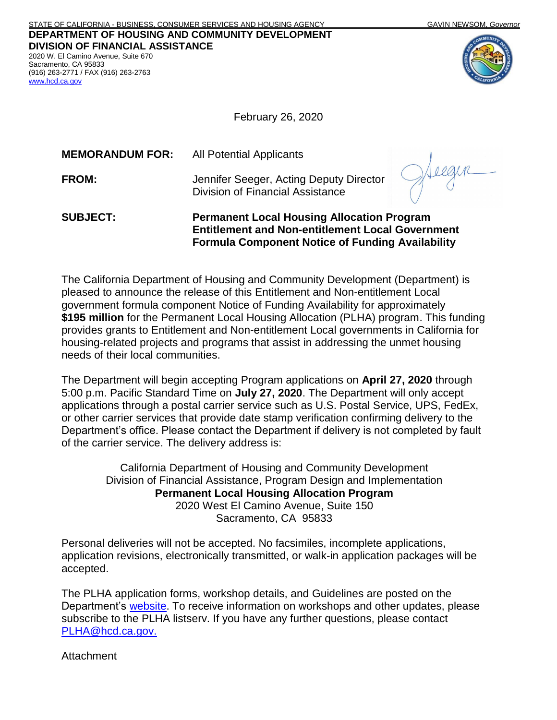(916) 263-2771 / FAX (916) 263-2763

[www.hcd.ca.gov](http://www.hcd.ca.gov/)

February 26, 2020

| <b>SUBJECT:</b>        | <b>Permanent Local Housing Allocation Program</b><br><b>Entitlement and Non-entitlement Local Government</b> |  |
|------------------------|--------------------------------------------------------------------------------------------------------------|--|
| <b>FROM:</b>           | Jennifer Seeger, Acting Deputy Director<br><b>Division of Financial Assistance</b>                           |  |
| <b>MEMORANDUM FOR:</b> | <b>All Potential Applicants</b>                                                                              |  |

**Formula Component Notice of Funding Availability** 

The California Department of Housing and Community Development (Department) is pleased to announce the release of this Entitlement and Non-entitlement Local government formula component Notice of Funding Availability for approximately **\$195 million** for the Permanent Local Housing Allocation (PLHA) program. This funding provides grants to Entitlement and Non-entitlement Local governments in California for housing-related projects and programs that assist in addressing the unmet housing needs of their local communities.

The Department will begin accepting Program applications on **April 27, 2020** through 5:00 p.m. Pacific Standard Time on **July 27, 2020**. The Department will only accept applications through a postal carrier service such as U.S. Postal Service, UPS, FedEx, or other carrier services that provide date stamp verification confirming delivery to the Department's office. Please contact the Department if delivery is not completed by fault of the carrier service. The delivery address is:

> California Department of Housing and Community Development Division of Financial Assistance, Program Design and Implementation **Permanent Local Housing Allocation Program** 2020 West El Camino Avenue, Suite 150 Sacramento, CA 95833

Personal deliveries will not be accepted. No facsimiles, incomplete applications, application revisions, electronically transmitted, or walk-in application packages will be accepted.

The PLHA application forms, workshop details, and Guidelines are posted on the Department's [website.](http://www.hcd.ca.gov/grants-funding/active-funding/plha.shtml) To receive information on workshops and other updates, please subscribe to the PLHA listserv. If you have any further questions, please contact [PLHA@hcd.ca.gov.](mailto:PLHA@hcd.ca.gov)

Attachment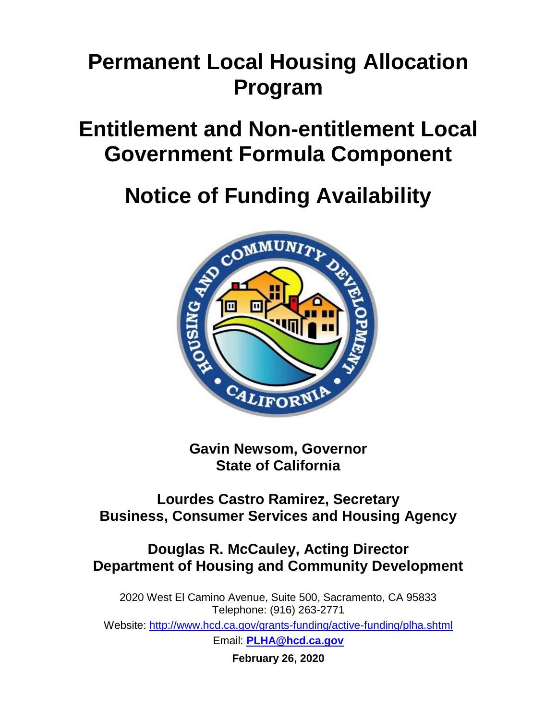## **Permanent Local Housing Allocation Program**

## **Entitlement and Non-entitlement Local Government Formula Component**

# **Notice of Funding Availability**



**Gavin Newsom, Governor State of California**

### **Lourdes Castro Ramirez, Secretary Business, Consumer Services and Housing Agency**

## **Douglas R. McCauley, Acting Director Department of Housing and Community Development**

2020 West El Camino Avenue, Suite 500, Sacramento, CA 95833 Telephone: (916) 263-2771 Website:<http://www.hcd.ca.gov/grants-funding/active-funding/plha.shtml> Email: **[PLHA@hcd.ca.gov](mailto:PLHA@hcd.ca.gov)**

**February 26, 2020**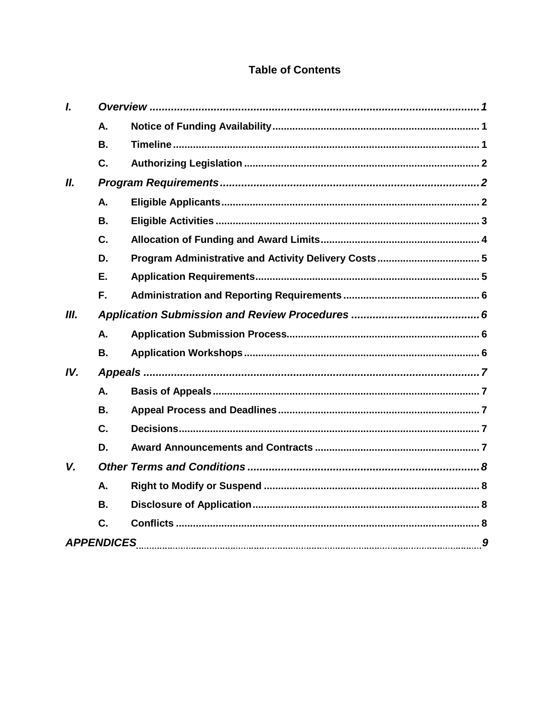#### **Table of Contents**

| I.   |                |  |
|------|----------------|--|
|      | Α.             |  |
|      | <b>B.</b>      |  |
|      | C.             |  |
| II.  |                |  |
|      | A.             |  |
|      | <b>B.</b>      |  |
|      | C.             |  |
|      | D.             |  |
|      | Ε.             |  |
|      | F.             |  |
| III. |                |  |
|      | А.             |  |
|      | <b>B.</b>      |  |
| IV.  |                |  |
|      | Α.             |  |
|      | <b>B.</b>      |  |
|      | C.             |  |
|      | D.             |  |
| V.   |                |  |
|      | Α.             |  |
|      | <b>B.</b>      |  |
|      | $\mathbf{C}$ . |  |
|      |                |  |
|      |                |  |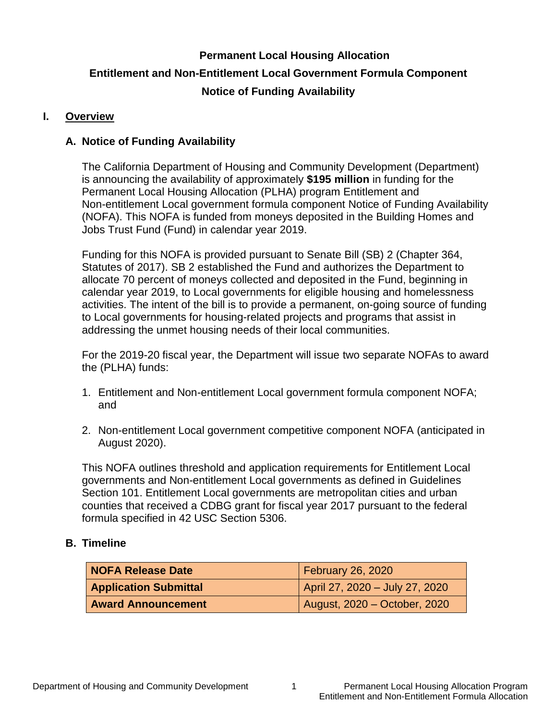## <span id="page-3-0"></span>**Permanent Local Housing Allocation Entitlement and Non-Entitlement Local Government Formula Component Notice of Funding Availability**

#### **I. Overview**

#### <span id="page-3-1"></span>**A. Notice of Funding Availability**

The California Department of Housing and Community Development (Department) is announcing the availability of approximately **\$195 million** in funding for the Permanent Local Housing Allocation (PLHA) program Entitlement and Non-entitlement Local government formula component Notice of Funding Availability (NOFA). This NOFA is funded from moneys deposited in the Building Homes and Jobs Trust Fund (Fund) in calendar year 2019.

Funding for this NOFA is provided pursuant to Senate Bill (SB) 2 (Chapter 364, Statutes of 2017). SB 2 established the Fund and authorizes the Department to allocate 70 percent of moneys collected and deposited in the Fund, beginning in calendar year 2019, to Local governments for eligible housing and homelessness activities. The intent of the bill is to provide a permanent, on-going source of funding to Local governments for housing-related projects and programs that assist in addressing the unmet housing needs of their local communities.

For the 2019-20 fiscal year, the Department will issue two separate NOFAs to award the (PLHA) funds:

- 1. Entitlement and Non-entitlement Local government formula component NOFA; and
- 2. Non-entitlement Local government competitive component NOFA (anticipated in August 2020).

This NOFA outlines threshold and application requirements for Entitlement Local governments and Non-entitlement Local governments as defined in Guidelines Section 101. Entitlement Local governments are metropolitan cities and urban counties that received a CDBG grant for fiscal year 2017 pursuant to the federal formula specified in 42 USC Section 5306.

#### <span id="page-3-2"></span>**B. Timeline**

<span id="page-3-3"></span>

| NOFA Release Date            | <b>February 26, 2020</b>       |  |
|------------------------------|--------------------------------|--|
| <b>Application Submittal</b> | April 27, 2020 - July 27, 2020 |  |
| <b>Award Announcement</b>    | August, 2020 – October, 2020   |  |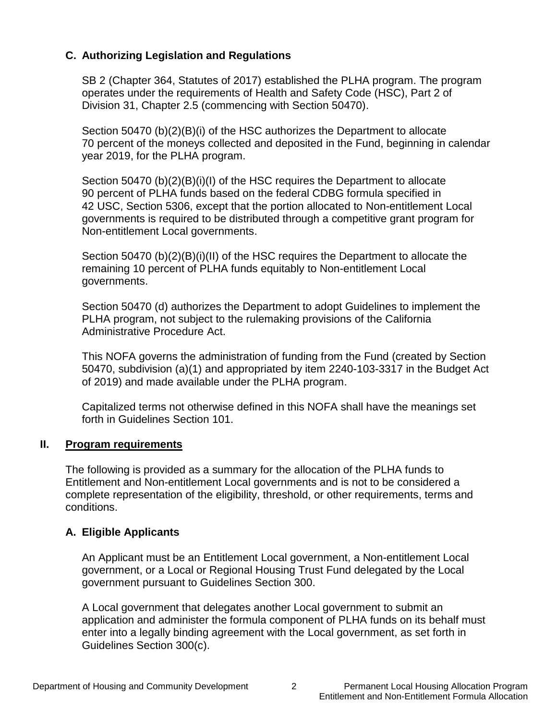#### **C. Authorizing Legislation and Regulations**

SB 2 (Chapter 364, Statutes of 2017) established the PLHA program. The program operates under the requirements of Health and Safety Code (HSC), Part 2 of Division 31, Chapter 2.5 (commencing with Section 50470).

Section 50470 (b)(2)(B)(i) of the HSC authorizes the Department to allocate 70 percent of the moneys collected and deposited in the Fund, beginning in calendar year 2019, for the PLHA program.

Section 50470 (b)(2)(B)(i)(I) of the HSC requires the Department to allocate 90 percent of PLHA funds based on the federal CDBG formula specified in 42 USC, Section 5306, except that the portion allocated to Non-entitlement Local governments is required to be distributed through a competitive grant program for Non-entitlement Local governments.

Section 50470 (b)(2)(B)(i)(II) of the HSC requires the Department to allocate the remaining 10 percent of PLHA funds equitably to Non-entitlement Local governments.

Section 50470 (d) authorizes the Department to adopt Guidelines to implement the PLHA program, not subject to the rulemaking provisions of the California Administrative Procedure Act.

This NOFA governs the administration of funding from the Fund (created by Section 50470, subdivision (a)(1) and appropriated by item 2240-103-3317 in the Budget Act of 2019) and made available under the PLHA program.

Capitalized terms not otherwise defined in this NOFA shall have the meanings set forth in Guidelines Section 101.

#### <span id="page-4-0"></span>**II. Program requirements**

The following is provided as a summary for the allocation of the PLHA funds to Entitlement and Non-entitlement Local governments and is not to be considered a complete representation of the eligibility, threshold, or other requirements, terms and conditions.

#### <span id="page-4-1"></span>**A. Eligible Applicants**

An Applicant must be an Entitlement Local government, a Non-entitlement Local government, or a Local or Regional Housing Trust Fund delegated by the Local government pursuant to Guidelines Section 300.

A Local government that delegates another Local government to submit an application and administer the formula component of PLHA funds on its behalf must enter into a legally binding agreement with the Local government, as set forth in Guidelines Section 300(c).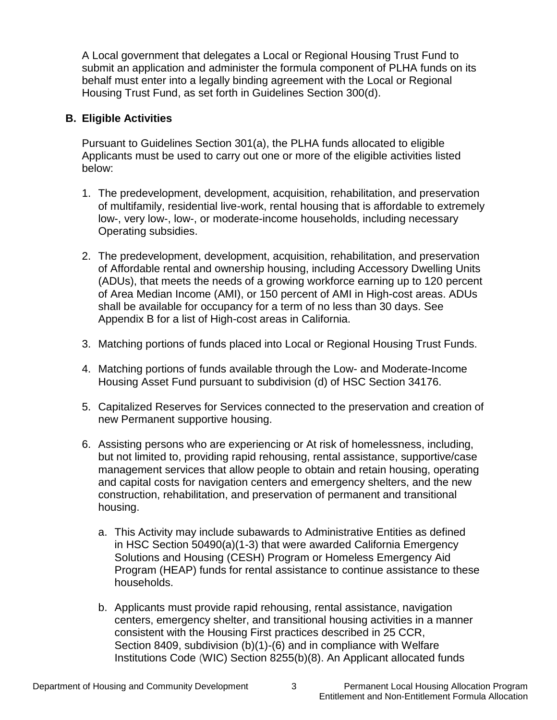A Local government that delegates a Local or Regional Housing Trust Fund to submit an application and administer the formula component of PLHA funds on its behalf must enter into a legally binding agreement with the Local or Regional Housing Trust Fund, as set forth in Guidelines Section 300(d).

#### <span id="page-5-0"></span>**B. Eligible Activities**

Pursuant to Guidelines Section 301(a), the PLHA funds allocated to eligible Applicants must be used to carry out one or more of the eligible activities listed below:

- 1. The predevelopment, development, acquisition, rehabilitation, and preservation of multifamily, residential live-work, rental housing that is affordable to extremely low-, very low-, low-, or moderate-income households, including necessary Operating subsidies.
- 2. The predevelopment, development, acquisition, rehabilitation, and preservation of Affordable rental and ownership housing, including Accessory Dwelling Units (ADUs), that meets the needs of a growing workforce earning up to 120 percent of Area Median Income (AMI), or 150 percent of AMI in High-cost areas. ADUs shall be available for occupancy for a term of no less than 30 days. See Appendix B for a list of High-cost areas in California.
- 3. Matching portions of funds placed into Local or Regional Housing Trust Funds.
- 4. Matching portions of funds available through the Low- and Moderate-Income Housing Asset Fund pursuant to subdivision (d) of HSC Section 34176.
- 5. Capitalized Reserves for Services connected to the preservation and creation of new Permanent supportive housing.
- 6. Assisting persons who are experiencing or At risk of homelessness, including, but not limited to, providing rapid rehousing, rental assistance, supportive/case management services that allow people to obtain and retain housing, operating and capital costs for navigation centers and emergency shelters, and the new construction, rehabilitation, and preservation of permanent and transitional housing.
	- a. This Activity may include subawards to Administrative Entities as defined in HSC Section 50490(a)(1-3) that were awarded California Emergency Solutions and Housing (CESH) Program or Homeless Emergency Aid Program (HEAP) funds for rental assistance to continue assistance to these households.
	- b. Applicants must provide rapid rehousing, rental assistance, navigation centers, emergency shelter, and transitional housing activities in a manner consistent with the Housing First practices described in 25 CCR, Section 8409, subdivision (b)(1)-(6) and in compliance with Welfare Institutions Code (WIC) Section 8255(b)(8). An Applicant allocated funds

Entitlement and Non-Entitlement Formula Allocation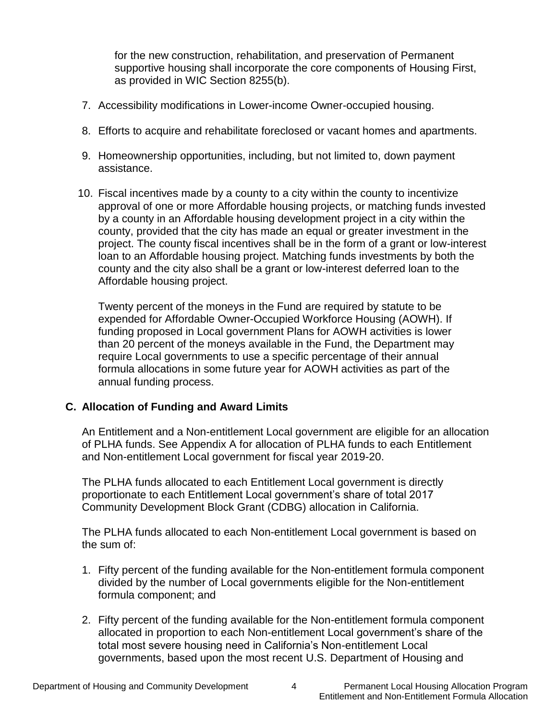for the new construction, rehabilitation, and preservation of Permanent supportive housing shall incorporate the core components of Housing First, as provided in WIC Section 8255(b).

- 7. Accessibility modifications in Lower-income Owner-occupied housing.
- 8. Efforts to acquire and rehabilitate foreclosed or vacant homes and apartments.
- 9. Homeownership opportunities, including, but not limited to, down payment assistance.
- 10. Fiscal incentives made by a county to a city within the county to incentivize approval of one or more Affordable housing projects, or matching funds invested by a county in an Affordable housing development project in a city within the county, provided that the city has made an equal or greater investment in the project. The county fiscal incentives shall be in the form of a grant or low-interest loan to an Affordable housing project. Matching funds investments by both the county and the city also shall be a grant or low-interest deferred loan to the Affordable housing project.

Twenty percent of the moneys in the Fund are required by statute to be expended for Affordable Owner-Occupied Workforce Housing (AOWH). If funding proposed in Local government Plans for AOWH activities is lower than 20 percent of the moneys available in the Fund, the Department may require Local governments to use a specific percentage of their annual formula allocations in some future year for AOWH activities as part of the annual funding process.

#### <span id="page-6-0"></span>**C. Allocation of Funding and Award Limits**

An Entitlement and a Non-entitlement Local government are eligible for an allocation of PLHA funds. See Appendix A for allocation of PLHA funds to each Entitlement and Non-entitlement Local government for fiscal year 2019-20.

The PLHA funds allocated to each Entitlement Local government is directly proportionate to each Entitlement Local government's share of total 2017 Community Development Block Grant (CDBG) allocation in California.

The PLHA funds allocated to each Non-entitlement Local government is based on the sum of:

- 1. Fifty percent of the funding available for the Non-entitlement formula component divided by the number of Local governments eligible for the Non-entitlement formula component; and
- 2. Fifty percent of the funding available for the Non-entitlement formula component allocated in proportion to each Non-entitlement Local government's share of the total most severe housing need in California's Non-entitlement Local governments, based upon the most recent U.S. Department of Housing and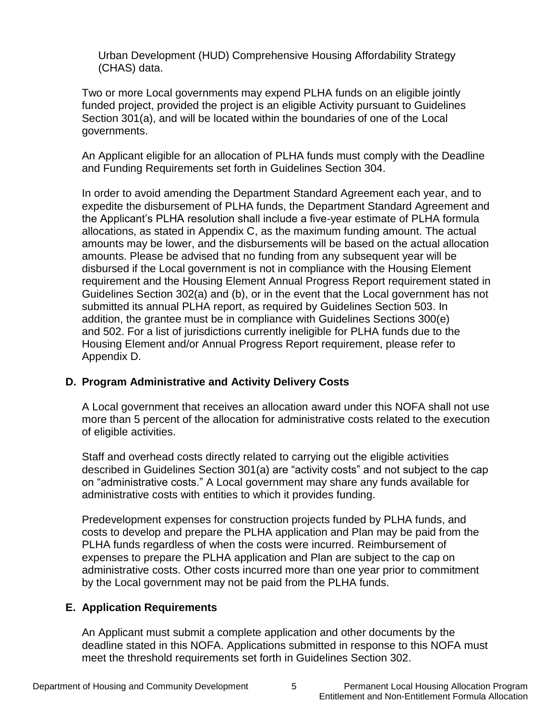Urban Development (HUD) Comprehensive Housing Affordability Strategy (CHAS) data.

Two or more Local governments may expend PLHA funds on an eligible jointly funded project, provided the project is an eligible Activity pursuant to Guidelines Section 301(a), and will be located within the boundaries of one of the Local governments.

An Applicant eligible for an allocation of PLHA funds must comply with the Deadline and Funding Requirements set forth in Guidelines Section 304.

In order to avoid amending the Department Standard Agreement each year, and to expedite the disbursement of PLHA funds, the Department Standard Agreement and the Applicant's PLHA resolution shall include a five-year estimate of PLHA formula allocations, as stated in Appendix C, as the maximum funding amount. The actual amounts may be lower, and the disbursements will be based on the actual allocation amounts. Please be advised that no funding from any subsequent year will be disbursed if the Local government is not in compliance with the Housing Element requirement and the Housing Element Annual Progress Report requirement stated in Guidelines Section 302(a) and (b), or in the event that the Local government has not submitted its annual PLHA report, as required by Guidelines Section 503. In addition, the grantee must be in compliance with Guidelines Sections 300(e) and 502. For a list of jurisdictions currently ineligible for PLHA funds due to the Housing Element and/or Annual Progress Report requirement, please refer to Appendix D.

#### <span id="page-7-0"></span>**D. Program Administrative and Activity Delivery Costs**

A Local government that receives an allocation award under this NOFA shall not use more than 5 percent of the allocation for administrative costs related to the execution of eligible activities.

Staff and overhead costs directly related to carrying out the eligible activities described in Guidelines Section 301(a) are "activity costs" and not subject to the cap on "administrative costs." A Local government may share any funds available for administrative costs with entities to which it provides funding.

Predevelopment expenses for construction projects funded by PLHA funds, and costs to develop and prepare the PLHA application and Plan may be paid from the PLHA funds regardless of when the costs were incurred. Reimbursement of expenses to prepare the PLHA application and Plan are subject to the cap on administrative costs. Other costs incurred more than one year prior to commitment by the Local government may not be paid from the PLHA funds.

#### <span id="page-7-1"></span>**E. Application Requirements**

An Applicant must submit a complete application and other documents by the deadline stated in this NOFA. Applications submitted in response to this NOFA must meet the threshold requirements set forth in Guidelines Section 302.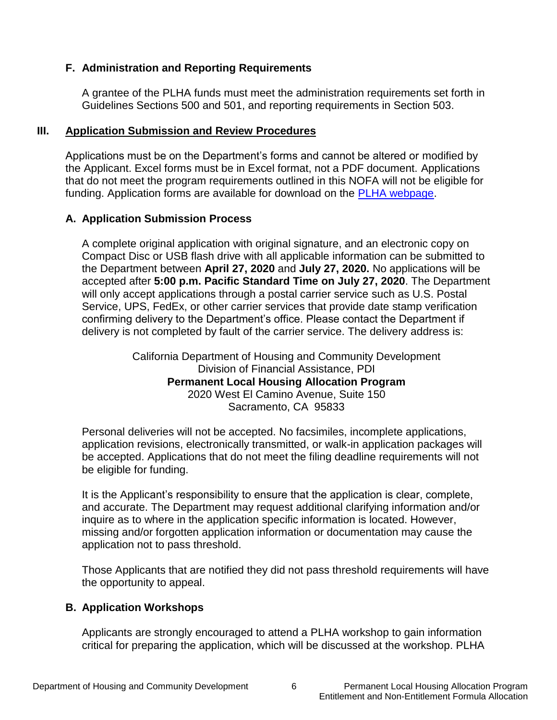#### <span id="page-8-0"></span>**F. Administration and Reporting Requirements**

A grantee of the PLHA funds must meet the administration requirements set forth in Guidelines Sections 500 and 501, and reporting requirements in Section 503.

#### <span id="page-8-1"></span>**III. Application Submission and Review Procedures**

Applications must be on the Department's forms and cannot be altered or modified by the Applicant. Excel forms must be in Excel format, not a PDF document. Applications that do not meet the program requirements outlined in this NOFA will not be eligible for funding. Application forms are available for download on the [PLHA webpage.](http://www.hcd.ca.gov/grants-funding/active-funding/plha.shtml)

#### <span id="page-8-2"></span>**A. Application Submission Process**

A complete original application with original signature, and an electronic copy on Compact Disc or USB flash drive with all applicable information can be submitted to the Department between **April 27, 2020** and **July 27, 2020.** No applications will be accepted after **5:00 p.m. Pacific Standard Time on July 27, 2020**. The Department will only accept applications through a postal carrier service such as U.S. Postal Service, UPS, FedEx, or other carrier services that provide date stamp verification confirming delivery to the Department's office. Please contact the Department if delivery is not completed by fault of the carrier service. The delivery address is:

> California Department of Housing and Community Development Division of Financial Assistance, PDI **Permanent Local Housing Allocation Program** 2020 West El Camino Avenue, Suite 150 Sacramento, CA 95833

Personal deliveries will not be accepted. No facsimiles, incomplete applications, application revisions, electronically transmitted, or walk-in application packages will be accepted. Applications that do not meet the filing deadline requirements will not be eligible for funding.

It is the Applicant's responsibility to ensure that the application is clear, complete, and accurate. The Department may request additional clarifying information and/or inquire as to where in the application specific information is located. However, missing and/or forgotten application information or documentation may cause the application not to pass threshold.

Those Applicants that are notified they did not pass threshold requirements will have the opportunity to appeal.

#### <span id="page-8-3"></span>**B. Application Workshops**

Applicants are strongly encouraged to attend a PLHA workshop to gain information critical for preparing the application, which will be discussed at the workshop. PLHA

Entitlement and Non-Entitlement Formula Allocation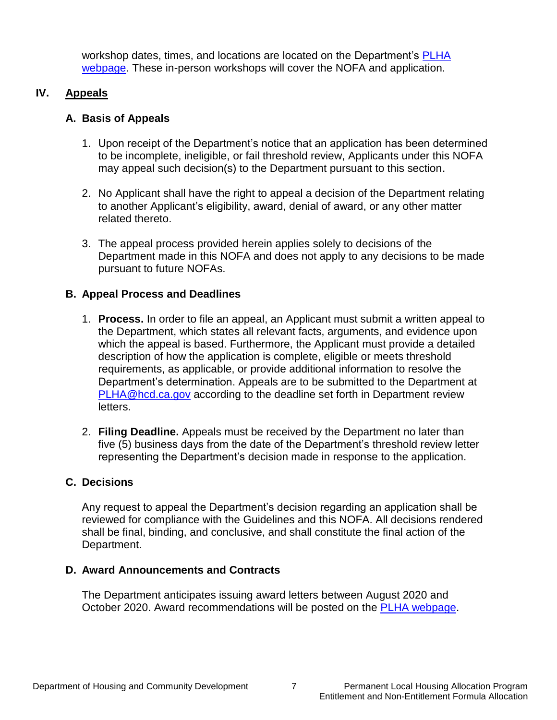workshop dates, times, and locations are located on the Department's [PLHA](http://www.hcd.ca.gov/grants-funding/active-funding/plha.shtml)  webpage. These in-person workshops will cover the NOFA and application.

#### **IV. Appeals**

#### <span id="page-9-1"></span><span id="page-9-0"></span>**A. Basis of Appeals**

- 1. Upon receipt of the Department's notice that an application has been determined to be incomplete, ineligible, or fail threshold review, Applicants under this NOFA may appeal such decision(s) to the Department pursuant to this section.
- 2. No Applicant shall have the right to appeal a decision of the Department relating to another Applicant's eligibility, award, denial of award, or any other matter related thereto.
- 3. The appeal process provided herein applies solely to decisions of the Department made in this NOFA and does not apply to any decisions to be made pursuant to future NOFAs.

#### <span id="page-9-2"></span>**B. Appeal Process and Deadlines**

- 1. **Process.** In order to file an appeal, an Applicant must submit a written appeal to the Department, which states all relevant facts, arguments, and evidence upon which the appeal is based. Furthermore, the Applicant must provide a detailed description of how the application is complete, eligible or meets threshold requirements, as applicable, or provide additional information to resolve the Department's determination. Appeals are to be submitted to the Department at [PLHA@hcd.ca.gov](mailto:PLHA@hcd.ca.gov) according to the deadline set forth in Department review letters.
- 2. **Filing Deadline.** Appeals must be received by the Department no later than five (5) business days from the date of the Department's threshold review letter representing the Department's decision made in response to the application.

#### <span id="page-9-3"></span>**C. Decisions**

Any request to appeal the Department's decision regarding an application shall be reviewed for compliance with the Guidelines and this NOFA. All decisions rendered shall be final, binding, and conclusive, and shall constitute the final action of the Department.

#### <span id="page-9-4"></span>**D. Award Announcements and Contracts**

The Department anticipates issuing award letters between August 2020 and October 2020. Award recommendations will be posted on the [PLHA webpage.](http://www.hcd.ca.gov/grants-funding/active-funding/plha.shtml)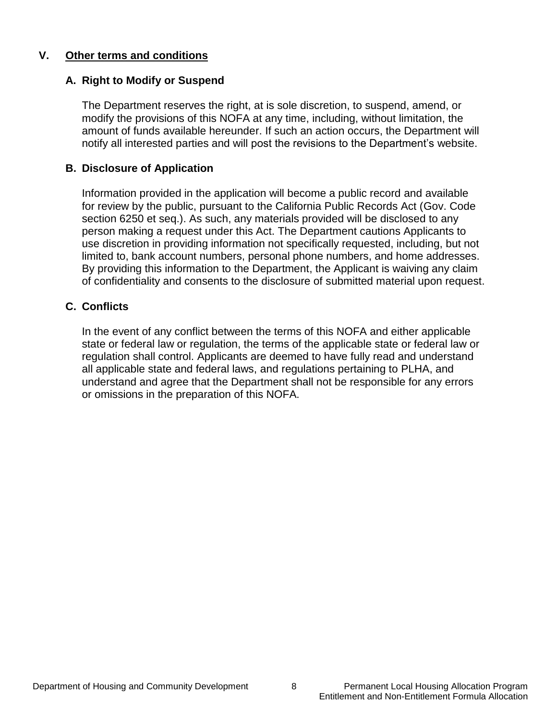#### <span id="page-10-0"></span>**V. Other terms and conditions**

#### <span id="page-10-1"></span>**A. Right to Modify or Suspend**

The Department reserves the right, at is sole discretion, to suspend, amend, or modify the provisions of this NOFA at any time, including, without limitation, the amount of funds available hereunder. If such an action occurs, the Department will notify all interested parties and will post the revisions to the Department's website.

#### <span id="page-10-2"></span>**B. Disclosure of Application**

Information provided in the application will become a public record and available for review by the public, pursuant to the California Public Records Act (Gov. Code section 6250 et seq.). As such, any materials provided will be disclosed to any person making a request under this Act. The Department cautions Applicants to use discretion in providing information not specifically requested, including, but not limited to, bank account numbers, personal phone numbers, and home addresses. By providing this information to the Department, the Applicant is waiving any claim of confidentiality and consents to the disclosure of submitted material upon request.

#### <span id="page-10-3"></span>**C. Conflicts**

In the event of any conflict between the terms of this NOFA and either applicable state or federal law or regulation, the terms of the applicable state or federal law or regulation shall control. Applicants are deemed to have fully read and understand all applicable state and federal laws, and regulations pertaining to PLHA, and understand and agree that the Department shall not be responsible for any errors or omissions in the preparation of this NOFA.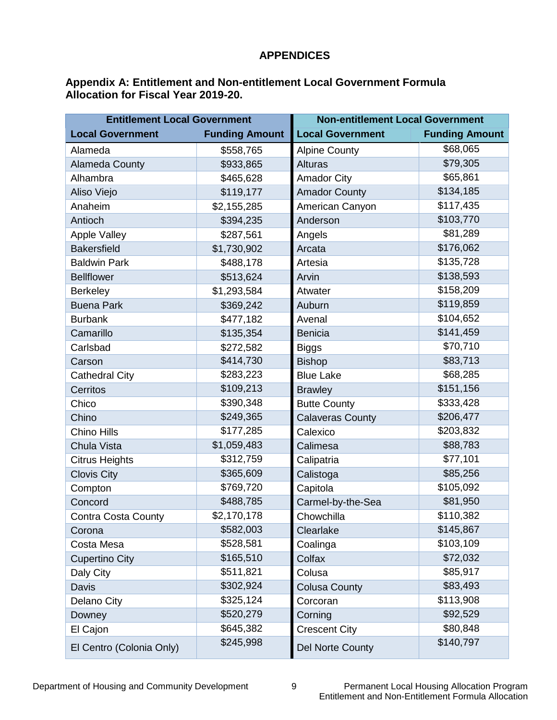#### **APPENDICES**

#### <span id="page-11-0"></span>**Appendix A: Entitlement and Non-entitlement Local Government Formula Allocation for Fiscal Year 2019-20.**

| <b>Entitlement Local Government</b> |                       | <b>Non-entitlement Local Government</b> |                       |
|-------------------------------------|-----------------------|-----------------------------------------|-----------------------|
| <b>Local Government</b>             | <b>Funding Amount</b> | <b>Local Government</b>                 | <b>Funding Amount</b> |
| Alameda                             | \$558,765             | <b>Alpine County</b>                    | \$68,065              |
| <b>Alameda County</b>               | \$933,865             | <b>Alturas</b>                          | \$79,305              |
| Alhambra                            | \$465,628             | <b>Amador City</b>                      | \$65,861              |
| Aliso Viejo                         | \$119,177             | <b>Amador County</b>                    | \$134,185             |
| Anaheim                             | \$2,155,285           | American Canyon                         | \$117,435             |
| Antioch                             | \$394,235             | Anderson                                | \$103,770             |
| <b>Apple Valley</b>                 | \$287,561             | Angels                                  | \$81,289              |
| <b>Bakersfield</b>                  | \$1,730,902           | Arcata                                  | \$176,062             |
| <b>Baldwin Park</b>                 | \$488,178             | Artesia                                 | \$135,728             |
| <b>Bellflower</b>                   | \$513,624             | Arvin                                   | \$138,593             |
| <b>Berkeley</b>                     | \$1,293,584           | Atwater                                 | \$158,209             |
| <b>Buena Park</b>                   | \$369,242             | Auburn                                  | \$119,859             |
| <b>Burbank</b>                      | \$477,182             | Avenal                                  | \$104,652             |
| Camarillo                           | \$135,354             | <b>Benicia</b>                          | \$141,459             |
| Carlsbad                            | \$272,582             | <b>Biggs</b>                            | \$70,710              |
| Carson                              | \$414,730             | <b>Bishop</b>                           | \$83,713              |
| <b>Cathedral City</b>               | \$283,223             | <b>Blue Lake</b>                        | \$68,285              |
| Cerritos                            | \$109,213             | <b>Brawley</b>                          | \$151,156             |
| Chico                               | \$390,348             | <b>Butte County</b>                     | \$333,428             |
| Chino                               | \$249,365             | <b>Calaveras County</b>                 | \$206,477             |
| Chino Hills                         | \$177,285             | Calexico                                | \$203,832             |
| Chula Vista                         | \$1,059,483           | Calimesa                                | \$88,783              |
| <b>Citrus Heights</b>               | \$312,759             | Calipatria                              | \$77,101              |
| <b>Clovis City</b>                  | \$365,609             | Calistoga                               | \$85,256              |
| Compton                             | \$769,720             | Capitola                                | \$105,092             |
| Concord                             | \$488,785             | Carmel-by-the-Sea                       | \$81,950              |
| Contra Costa County                 | \$2,170,178           | Chowchilla                              | \$110,382             |
| Corona                              | \$582,003             | Clearlake                               | \$145,867             |
| Costa Mesa                          | \$528,581             | Coalinga                                | \$103,109             |
| <b>Cupertino City</b>               | \$165,510             | Colfax                                  | \$72,032              |
| Daly City                           | \$511,821             | Colusa                                  | \$85,917              |
| Davis                               | \$302,924             | <b>Colusa County</b>                    | \$83,493              |
| Delano City                         | \$325,124             | Corcoran                                | \$113,908             |
| Downey                              | \$520,279             | Corning                                 | \$92,529              |
| El Cajon                            | \$645,382             | <b>Crescent City</b>                    | \$80,848              |
| El Centro (Colonia Only)            | \$245,998             | Del Norte County                        | \$140,797             |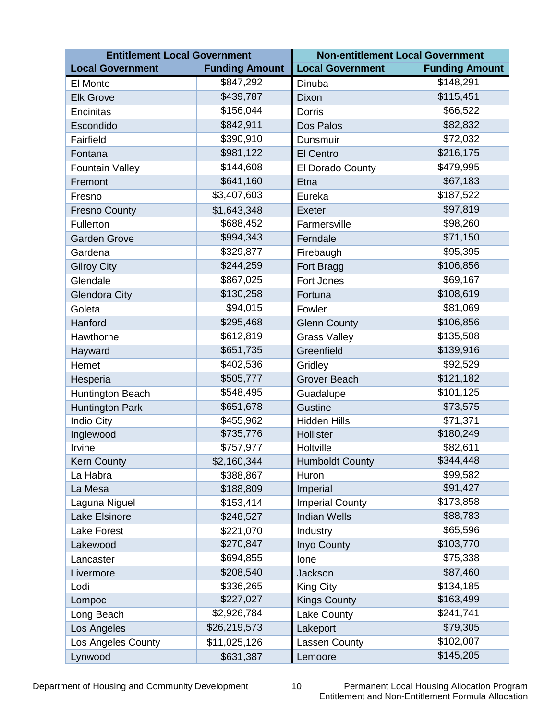| <b>Entitlement Local Government</b> |                       | <b>Non-entitlement Local Government</b> |                       |  |
|-------------------------------------|-----------------------|-----------------------------------------|-----------------------|--|
| <b>Local Government</b>             | <b>Funding Amount</b> | <b>Local Government</b>                 | <b>Funding Amount</b> |  |
| El Monte                            | \$847,292             | Dinuba                                  | \$148,291             |  |
| <b>Elk Grove</b>                    | \$439,787             | Dixon                                   | \$115,451             |  |
| Encinitas                           | \$156,044             | <b>Dorris</b>                           | \$66,522              |  |
| Escondido                           | \$842,911             | Dos Palos                               | \$82,832              |  |
| Fairfield                           | \$390,910             | Dunsmuir                                | \$72,032              |  |
| Fontana                             | \$981,122             | El Centro                               | \$216,175             |  |
| <b>Fountain Valley</b>              | \$144,608             | El Dorado County                        | \$479,995             |  |
| Fremont                             | \$641,160             | Etna                                    | \$67,183              |  |
| Fresno                              | \$3,407,603           | Eureka                                  | \$187,522             |  |
| <b>Fresno County</b>                | \$1,643,348           | Exeter                                  | \$97,819              |  |
| Fullerton                           | \$688,452             | Farmersville                            | \$98,260              |  |
| <b>Garden Grove</b>                 | \$994,343             | Ferndale                                | \$71,150              |  |
| Gardena                             | \$329,877             | Firebaugh                               | \$95,395              |  |
| <b>Gilroy City</b>                  | \$244,259             | Fort Bragg                              | \$106,856             |  |
| Glendale                            | \$867,025             | Fort Jones                              | \$69,167              |  |
| <b>Glendora City</b>                | \$130,258             | Fortuna                                 | \$108,619             |  |
| Goleta                              | \$94,015              | Fowler                                  | \$81,069              |  |
| Hanford                             | \$295,468             | <b>Glenn County</b>                     | \$106,856             |  |
| Hawthorne                           | \$612,819             | <b>Grass Valley</b>                     | \$135,508             |  |
| Hayward                             | \$651,735             | Greenfield                              | \$139,916             |  |
| Hemet                               | \$402,536             | Gridley                                 | \$92,529              |  |
| Hesperia                            | \$505,777             | <b>Grover Beach</b>                     | \$121,182             |  |
| Huntington Beach                    | \$548,495             | Guadalupe                               | \$101,125             |  |
| <b>Huntington Park</b>              | \$651,678             | <b>Gustine</b>                          | \$73,575              |  |
| <b>Indio City</b>                   | \$455,962             | <b>Hidden Hills</b>                     | \$71,371              |  |
| Inglewood                           | \$735,776             | Hollister                               | \$180,249             |  |
| Irvine                              | \$757,977             | Holtville                               | \$82,611              |  |
| <b>Kern County</b>                  | \$2,160,344           | <b>Humboldt County</b>                  | \$344,448             |  |
| La Habra                            | \$388,867             | Huron                                   | \$99,582              |  |
| La Mesa                             | \$188,809             | Imperial                                | \$91,427              |  |
| Laguna Niguel                       | \$153,414             | <b>Imperial County</b>                  | \$173,858             |  |
| Lake Elsinore                       | \$248,527             | <b>Indian Wells</b>                     | \$88,783              |  |
| Lake Forest                         | \$221,070             | Industry                                | \$65,596              |  |
| Lakewood                            | \$270,847             | <b>Inyo County</b>                      | \$103,770             |  |
| Lancaster                           | \$694,855             | lone                                    | \$75,338              |  |
| Livermore                           | \$208,540             | Jackson                                 | \$87,460              |  |
| Lodi                                | \$336,265             | <b>King City</b>                        | \$134,185             |  |
| Lompoc                              | \$227,027             | <b>Kings County</b>                     | \$163,499             |  |
| Long Beach                          | \$2,926,784           | Lake County                             | \$241,741             |  |
| Los Angeles                         | \$26,219,573          | Lakeport                                | \$79,305              |  |
| Los Angeles County                  | \$11,025,126          | Lassen County                           | \$102,007             |  |
| Lynwood                             | \$631,387             | Lemoore                                 | \$145,205             |  |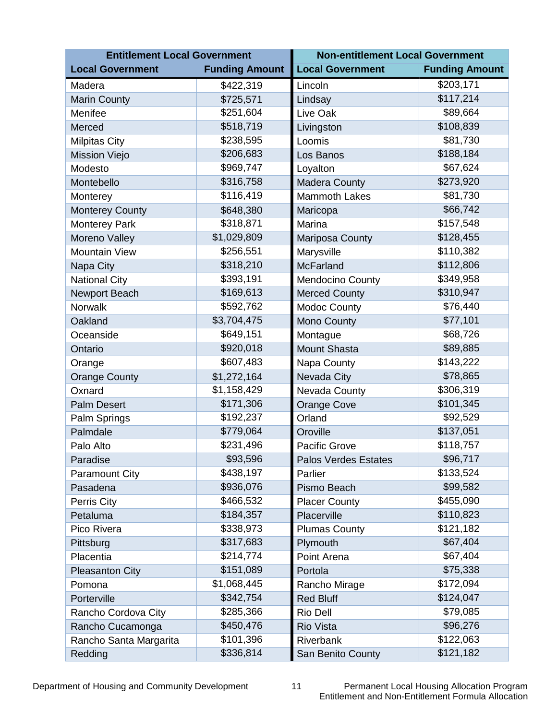| <b>Entitlement Local Government</b> |                       | <b>Non-entitlement Local Government</b> |                       |  |
|-------------------------------------|-----------------------|-----------------------------------------|-----------------------|--|
| <b>Local Government</b>             | <b>Funding Amount</b> | <b>Local Government</b>                 | <b>Funding Amount</b> |  |
| Madera                              | \$422,319             | Lincoln                                 | \$203,171             |  |
| <b>Marin County</b>                 | \$725,571             | Lindsay                                 | \$117,214             |  |
| Menifee                             | \$251,604             | Live Oak                                | \$89,664              |  |
| Merced                              | \$518,719             | Livingston                              | \$108,839             |  |
| <b>Milpitas City</b>                | \$238,595             | Loomis                                  | \$81,730              |  |
| <b>Mission Viejo</b>                | \$206,683             | Los Banos                               | \$188,184             |  |
| Modesto                             | \$969,747             | Loyalton                                | \$67,624              |  |
| Montebello                          | \$316,758             | <b>Madera County</b>                    | \$273,920             |  |
| Monterey                            | \$116,419             | <b>Mammoth Lakes</b>                    | \$81,730              |  |
| <b>Monterey County</b>              | \$648,380             | Maricopa                                | \$66,742              |  |
| <b>Monterey Park</b>                | \$318,871             | Marina                                  | \$157,548             |  |
| Moreno Valley                       | \$1,029,809           | Mariposa County                         | \$128,455             |  |
| <b>Mountain View</b>                | \$256,551             | Marysville                              | \$110,382             |  |
| Napa City                           | \$318,210             | <b>McFarland</b>                        | \$112,806             |  |
| <b>National City</b>                | \$393,191             | <b>Mendocino County</b>                 | \$349,958             |  |
| Newport Beach                       | \$169,613             | <b>Merced County</b>                    | \$310,947             |  |
| <b>Norwalk</b>                      | \$592,762             | <b>Modoc County</b>                     | \$76,440              |  |
| Oakland                             | \$3,704,475           | <b>Mono County</b>                      | \$77,101              |  |
| Oceanside                           | \$649,151             | Montague                                | \$68,726              |  |
| Ontario                             | \$920,018             | <b>Mount Shasta</b>                     | \$89,885              |  |
| Orange                              | \$607,483             | Napa County                             | \$143,222             |  |
| <b>Orange County</b>                | \$1,272,164           | Nevada City                             | \$78,865              |  |
| Oxnard                              | \$1,158,429           | Nevada County                           | \$306,319             |  |
| <b>Palm Desert</b>                  | \$171,306             | <b>Orange Cove</b>                      | \$101,345             |  |
| Palm Springs                        | \$192,237             | Orland                                  | \$92,529              |  |
| Palmdale                            | \$779,064             | Oroville                                | \$137,051             |  |
| Palo Alto                           | \$231,496             | <b>Pacific Grove</b>                    | \$118,757             |  |
| Paradise                            | \$93,596              | <b>Palos Verdes Estates</b>             | \$96,717              |  |
| <b>Paramount City</b>               | \$438,197             | Parlier                                 | \$133,524             |  |
| Pasadena                            | \$936,076             | Pismo Beach                             | \$99,582              |  |
| Perris City                         | \$466,532             | <b>Placer County</b>                    | \$455,090             |  |
| Petaluma                            | \$184,357             | Placerville                             | \$110,823             |  |
| Pico Rivera                         | \$338,973             | <b>Plumas County</b>                    | \$121,182             |  |
| Pittsburg                           | \$317,683             | Plymouth                                | \$67,404              |  |
| Placentia                           | \$214,774             | Point Arena                             | \$67,404              |  |
| <b>Pleasanton City</b>              | \$151,089             | Portola                                 | \$75,338              |  |
| Pomona                              | \$1,068,445           | Rancho Mirage                           | \$172,094             |  |
| Porterville                         | \$342,754             | <b>Red Bluff</b>                        | \$124,047             |  |
| Rancho Cordova City                 | \$285,366             | <b>Rio Dell</b>                         | \$79,085              |  |
| Rancho Cucamonga                    | \$450,476             | <b>Rio Vista</b>                        | \$96,276              |  |
| Rancho Santa Margarita              | \$101,396             | Riverbank                               | \$122,063             |  |
| Redding                             | \$336,814             | San Benito County                       | \$121,182             |  |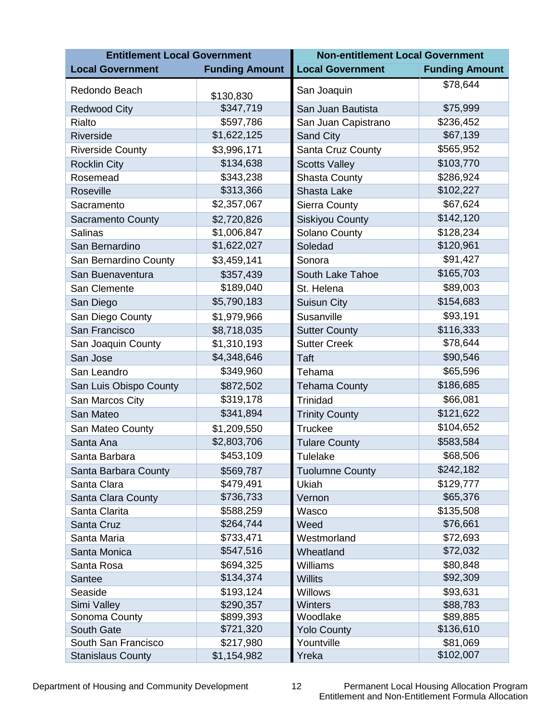| <b>Entitlement Local Government</b> |                        | <b>Non-entitlement Local Government</b> |                       |
|-------------------------------------|------------------------|-----------------------------------------|-----------------------|
| <b>Local Government</b>             | <b>Funding Amount</b>  | <b>Local Government</b>                 | <b>Funding Amount</b> |
| Redondo Beach                       | \$130,830              | San Joaquin                             | \$78,644              |
| <b>Redwood City</b>                 | \$347,719              | San Juan Bautista                       | \$75,999              |
| Rialto                              | \$597,786              | San Juan Capistrano                     | \$236,452             |
| Riverside                           | \$1,622,125            | <b>Sand City</b>                        | \$67,139              |
| <b>Riverside County</b>             | \$3,996,171            | Santa Cruz County                       | \$565,952             |
| <b>Rocklin City</b>                 | \$134,638              | <b>Scotts Valley</b>                    | \$103,770             |
| Rosemead                            | \$343,238              | <b>Shasta County</b>                    | \$286,924             |
| Roseville                           | \$313,366              | Shasta Lake                             | \$102,227             |
| Sacramento                          | \$2,357,067            | <b>Sierra County</b>                    | \$67,624              |
| <b>Sacramento County</b>            | \$2,720,826            | <b>Siskiyou County</b>                  | \$142,120             |
| <b>Salinas</b>                      | \$1,006,847            | Solano County                           | \$128,234             |
| San Bernardino                      | \$1,622,027            | Soledad                                 | \$120,961             |
| San Bernardino County               | \$3,459,141            | Sonora                                  | \$91,427              |
| San Buenaventura                    | \$357,439              | South Lake Tahoe                        | \$165,703             |
| San Clemente                        | \$189,040              | St. Helena                              | \$89,003              |
| San Diego                           | \$5,790,183            | Suisun City                             | \$154,683             |
| San Diego County                    | \$1,979,966            | Susanville                              | \$93,191              |
| San Francisco                       | \$8,718,035            | <b>Sutter County</b>                    | \$116,333             |
| San Joaquin County                  | \$1,310,193            | <b>Sutter Creek</b>                     | \$78,644              |
| San Jose                            | \$4,348,646            | Taft                                    | \$90,546              |
| San Leandro                         | \$349,960              | Tehama                                  | \$65,596              |
| San Luis Obispo County              | \$872,502              | <b>Tehama County</b>                    | \$186,685             |
| San Marcos City                     | \$319,178              | Trinidad                                | \$66,081              |
| San Mateo                           | \$341,894              | <b>Trinity County</b>                   | \$121,622             |
| San Mateo County                    | \$1,209,550            | <b>Truckee</b>                          | \$104,652             |
| Santa Ana                           | \$2,803,706            | <b>Tulare County</b>                    | \$583,584             |
| Santa Barbara                       | \$453,109              | Tulelake                                | \$68,506              |
| Santa Barbara County                | \$569,787              | <b>Tuolumne County</b>                  | \$242,182             |
| Santa Clara                         | \$479,491              | Ukiah                                   | \$129,777             |
| Santa Clara County                  | \$736,733              | Vernon                                  | \$65,376              |
| Santa Clarita                       | \$588,259              | Wasco                                   | \$135,508             |
| Santa Cruz                          | \$264,744              | Weed                                    | \$76,661              |
| Santa Maria                         | \$733,471              | Westmorland                             | \$72,693              |
| Santa Monica                        | \$547,516              | Wheatland                               | \$72,032              |
| Santa Rosa                          | \$694,325              | Williams                                | \$80,848              |
| Santee                              | \$134,374              | <b>Willits</b>                          | \$92,309              |
| Seaside                             | \$193,124              | <b>Willows</b>                          | \$93,631              |
| Simi Valley                         | \$290,357              | Winters                                 | \$88,783              |
| Sonoma County<br>South Gate         | \$899,393<br>\$721,320 | Woodlake<br><b>Yolo County</b>          | \$89,885<br>\$136,610 |
| South San Francisco                 | \$217,980              | Yountville                              | \$81,069              |
| <b>Stanislaus County</b>            | \$1,154,982            | Yreka                                   | \$102,007             |
|                                     |                        |                                         |                       |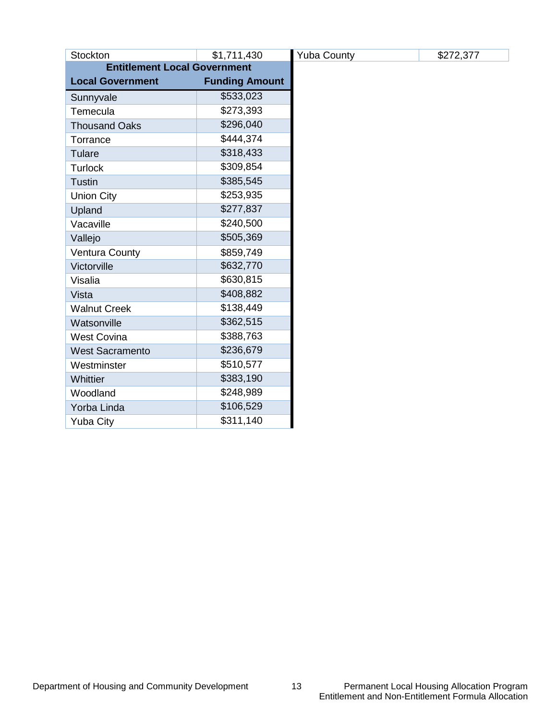| Stockton                            | \$1,711,430           |  | <b>Yuba County</b> |
|-------------------------------------|-----------------------|--|--------------------|
| <b>Entitlement Local Government</b> |                       |  |                    |
| <b>Local Government</b>             | <b>Funding Amount</b> |  |                    |
| Sunnyvale                           | \$533,023             |  |                    |
| Temecula                            | \$273,393             |  |                    |
| <b>Thousand Oaks</b>                | \$296,040             |  |                    |
| Torrance                            | \$444,374             |  |                    |
| Tulare                              | \$318,433             |  |                    |
| <b>Turlock</b>                      | \$309,854             |  |                    |
| <b>Tustin</b>                       | \$385,545             |  |                    |
| <b>Union City</b>                   | \$253,935             |  |                    |
| Upland                              | \$277,837             |  |                    |
| Vacaville                           | \$240,500             |  |                    |
| Vallejo                             | \$505,369             |  |                    |
| <b>Ventura County</b>               | \$859,749             |  |                    |
| Victorville                         | \$632,770             |  |                    |
| Visalia                             | \$630,815             |  |                    |
| Vista                               | \$408,882             |  |                    |
| <b>Walnut Creek</b>                 | \$138,449             |  |                    |
| Watsonville                         | \$362,515             |  |                    |
| <b>West Covina</b>                  | \$388,763             |  |                    |
| <b>West Sacramento</b>              | \$236,679             |  |                    |
| Westminster                         | \$510,577             |  |                    |
| Whittier                            | \$383,190             |  |                    |
| Woodland                            | \$248,989             |  |                    |
| Yorba Linda                         | \$106,529             |  |                    |
| <b>Yuba City</b>                    | \$311,140             |  |                    |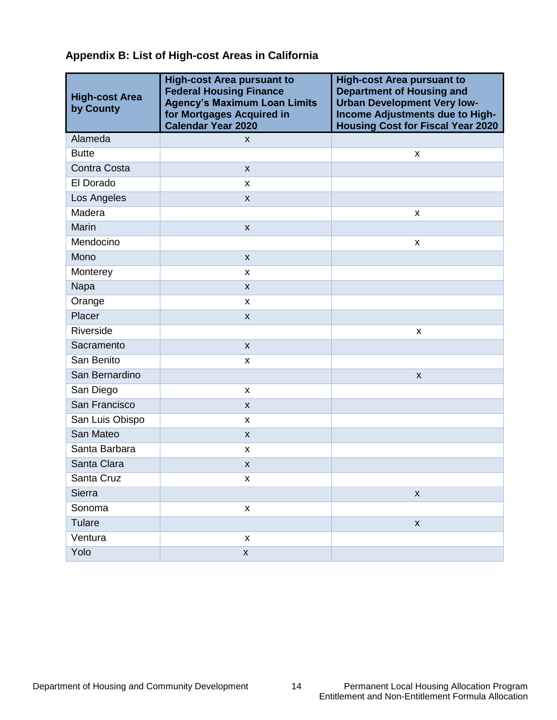#### **Appendix B: List of High-cost Areas in California**

| <b>High-cost Area</b><br>by County | <b>High-cost Area pursuant to</b><br><b>Federal Housing Finance</b><br><b>Agency's Maximum Loan Limits</b><br>for Mortgages Acquired in<br><b>Calendar Year 2020</b> | <b>High-cost Area pursuant to</b><br><b>Department of Housing and</b><br><b>Urban Development Very low-</b><br>Income Adjustments due to High-<br><b>Housing Cost for Fiscal Year 2020</b> |
|------------------------------------|----------------------------------------------------------------------------------------------------------------------------------------------------------------------|--------------------------------------------------------------------------------------------------------------------------------------------------------------------------------------------|
| Alameda                            | X                                                                                                                                                                    |                                                                                                                                                                                            |
| <b>Butte</b>                       |                                                                                                                                                                      | X                                                                                                                                                                                          |
| Contra Costa                       | $\mathsf{x}$                                                                                                                                                         |                                                                                                                                                                                            |
| El Dorado                          | x                                                                                                                                                                    |                                                                                                                                                                                            |
| Los Angeles                        | X                                                                                                                                                                    |                                                                                                                                                                                            |
| Madera                             |                                                                                                                                                                      | X                                                                                                                                                                                          |
| Marin                              | $\pmb{\times}$                                                                                                                                                       |                                                                                                                                                                                            |
| Mendocino                          |                                                                                                                                                                      | X                                                                                                                                                                                          |
| Mono                               | $\pmb{\mathsf{X}}$                                                                                                                                                   |                                                                                                                                                                                            |
| Monterey                           | x                                                                                                                                                                    |                                                                                                                                                                                            |
| Napa                               | $\mathsf{x}$                                                                                                                                                         |                                                                                                                                                                                            |
| Orange                             | X                                                                                                                                                                    |                                                                                                                                                                                            |
| Placer                             | $\pmb{\times}$                                                                                                                                                       |                                                                                                                                                                                            |
| Riverside                          |                                                                                                                                                                      | X                                                                                                                                                                                          |
| Sacramento                         | X                                                                                                                                                                    |                                                                                                                                                                                            |
| San Benito                         | X                                                                                                                                                                    |                                                                                                                                                                                            |
| San Bernardino                     |                                                                                                                                                                      | $\boldsymbol{\mathsf{x}}$                                                                                                                                                                  |
| San Diego                          | X                                                                                                                                                                    |                                                                                                                                                                                            |
| San Francisco                      | X                                                                                                                                                                    |                                                                                                                                                                                            |
| San Luis Obispo                    | X                                                                                                                                                                    |                                                                                                                                                                                            |
| San Mateo                          | $\mathsf{x}$                                                                                                                                                         |                                                                                                                                                                                            |
| Santa Barbara                      | X                                                                                                                                                                    |                                                                                                                                                                                            |
| Santa Clara                        | X                                                                                                                                                                    |                                                                                                                                                                                            |
| Santa Cruz                         | X                                                                                                                                                                    |                                                                                                                                                                                            |
| Sierra                             |                                                                                                                                                                      | $\pmb{\mathsf{X}}$                                                                                                                                                                         |
| Sonoma                             | $\pmb{\mathsf{X}}$                                                                                                                                                   |                                                                                                                                                                                            |
| Tulare                             |                                                                                                                                                                      | $\pmb{\mathsf{X}}$                                                                                                                                                                         |
| Ventura                            | $\pmb{\mathsf{x}}$                                                                                                                                                   |                                                                                                                                                                                            |
| Yolo                               | $\pmb{\mathsf{X}}$                                                                                                                                                   |                                                                                                                                                                                            |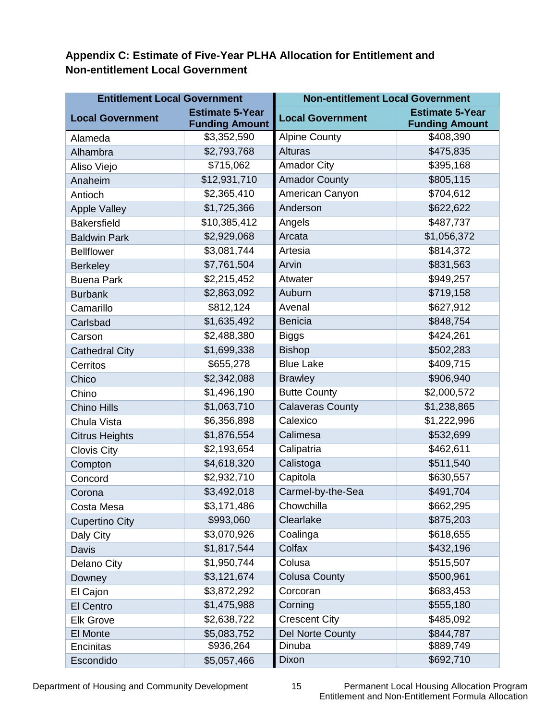**Appendix C: Estimate of Five-Year PLHA Allocation for Entitlement and Non-entitlement Local Government**

| <b>Entitlement Local Government</b> |                                                 | <b>Non-entitlement Local Government</b> |                                                 |
|-------------------------------------|-------------------------------------------------|-----------------------------------------|-------------------------------------------------|
| <b>Local Government</b>             | <b>Estimate 5-Year</b><br><b>Funding Amount</b> | <b>Local Government</b>                 | <b>Estimate 5-Year</b><br><b>Funding Amount</b> |
| Alameda                             | \$3,352,590                                     | <b>Alpine County</b>                    | \$408,390                                       |
| Alhambra                            | \$2,793,768                                     | <b>Alturas</b>                          | \$475,835                                       |
| Aliso Viejo                         | \$715,062                                       | <b>Amador City</b>                      | \$395,168                                       |
| Anaheim                             | \$12,931,710                                    | <b>Amador County</b>                    | \$805,115                                       |
| Antioch                             | \$2,365,410                                     | American Canyon                         | \$704,612                                       |
| <b>Apple Valley</b>                 | \$1,725,366                                     | Anderson                                | \$622,622                                       |
| <b>Bakersfield</b>                  | \$10,385,412                                    | Angels                                  | \$487,737                                       |
| <b>Baldwin Park</b>                 | \$2,929,068                                     | Arcata                                  | \$1,056,372                                     |
| <b>Bellflower</b>                   | \$3,081,744                                     | Artesia                                 | \$814,372                                       |
| <b>Berkeley</b>                     | \$7,761,504                                     | Arvin                                   | \$831,563                                       |
| <b>Buena Park</b>                   | \$2,215,452                                     | Atwater                                 | \$949,257                                       |
| <b>Burbank</b>                      | \$2,863,092                                     | Auburn                                  | \$719,158                                       |
| Camarillo                           | \$812,124                                       | Avenal                                  | \$627,912                                       |
| Carlsbad                            | \$1,635,492                                     | <b>Benicia</b>                          | \$848,754                                       |
| Carson                              | \$2,488,380                                     | <b>Biggs</b>                            | \$424,261                                       |
| <b>Cathedral City</b>               | \$1,699,338                                     | <b>Bishop</b>                           | \$502,283                                       |
| Cerritos                            | \$655,278                                       | <b>Blue Lake</b>                        | \$409,715                                       |
| Chico                               | \$2,342,088                                     | <b>Brawley</b>                          | \$906,940                                       |
| Chino                               | \$1,496,190                                     | <b>Butte County</b>                     | \$2,000,572                                     |
| <b>Chino Hills</b>                  | \$1,063,710                                     | <b>Calaveras County</b>                 | \$1,238,865                                     |
| Chula Vista                         | \$6,356,898                                     | Calexico                                | \$1,222,996                                     |
| <b>Citrus Heights</b>               | \$1,876,554                                     | Calimesa                                | \$532,699                                       |
| <b>Clovis City</b>                  | \$2,193,654                                     | Calipatria                              | \$462,611                                       |
| Compton                             | \$4,618,320                                     | Calistoga                               | \$511,540                                       |
| Concord                             | \$2,932,710                                     | Capitola                                | \$630,557                                       |
| Corona                              | \$3,492,018                                     | Carmel-by-the-Sea                       | \$491,704                                       |
| Costa Mesa                          | \$3,171,486                                     | Chowchilla                              | \$662,295                                       |
| <b>Cupertino City</b>               | \$993,060                                       | Clearlake                               | \$875,203                                       |
| Daly City                           | \$3,070,926                                     | Coalinga                                | \$618,655                                       |
| Davis                               | \$1,817,544                                     | Colfax                                  | \$432,196                                       |
| Delano City                         | \$1,950,744                                     | Colusa                                  | \$515,507                                       |
| Downey                              | \$3,121,674                                     | <b>Colusa County</b>                    | \$500,961                                       |
| El Cajon                            | \$3,872,292                                     | Corcoran                                | \$683,453                                       |
| El Centro                           | \$1,475,988                                     | Corning                                 | \$555,180                                       |
| <b>Elk Grove</b>                    | \$2,638,722                                     | <b>Crescent City</b>                    | \$485,092                                       |
| El Monte                            | \$5,083,752                                     | <b>Del Norte County</b>                 | \$844,787                                       |
| Encinitas                           | \$936,264                                       | Dinuba                                  | \$889,749                                       |
| Escondido                           | \$5,057,466                                     | Dixon                                   | \$692,710                                       |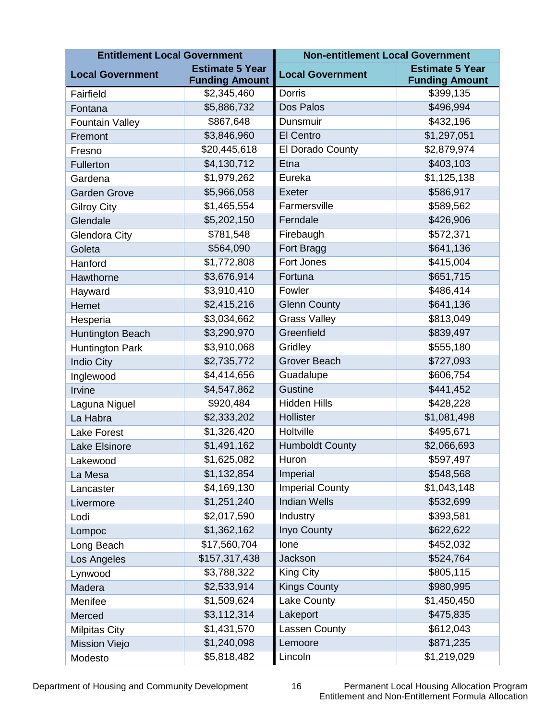| <b>Entitlement Local Government</b> |                                                 | <b>Non-entitlement Local Government</b> |                                                 |  |
|-------------------------------------|-------------------------------------------------|-----------------------------------------|-------------------------------------------------|--|
| <b>Local Government</b>             | <b>Estimate 5 Year</b><br><b>Funding Amount</b> | <b>Local Government</b>                 | <b>Estimate 5 Year</b><br><b>Funding Amount</b> |  |
| Fairfield                           | \$2,345,460                                     | Dorris                                  | \$399,135                                       |  |
| Fontana                             | \$5,886,732                                     | Dos Palos                               | \$496,994                                       |  |
| <b>Fountain Valley</b>              | \$867,648                                       | Dunsmuir                                | \$432,196                                       |  |
| Fremont                             | \$3,846,960                                     | <b>El Centro</b>                        | \$1,297,051                                     |  |
| Fresno                              | \$20,445,618                                    | El Dorado County                        | \$2,879,974                                     |  |
| Fullerton                           | \$4,130,712                                     | Etna                                    | \$403,103                                       |  |
| Gardena                             | \$1,979,262                                     | Eureka                                  | \$1,125,138                                     |  |
| <b>Garden Grove</b>                 | \$5,966,058                                     | Exeter                                  | \$586,917                                       |  |
| <b>Gilroy City</b>                  | \$1,465,554                                     | Farmersville                            | \$589,562                                       |  |
| Glendale                            | \$5,202,150                                     | Ferndale                                | \$426,906                                       |  |
| <b>Glendora City</b>                | \$781,548                                       | Firebaugh                               | \$572,371                                       |  |
| Goleta                              | \$564,090                                       | Fort Bragg                              | \$641,136                                       |  |
| Hanford                             | \$1,772,808                                     | <b>Fort Jones</b>                       | \$415,004                                       |  |
| Hawthorne                           | \$3,676,914                                     | Fortuna                                 | \$651,715                                       |  |
| Hayward                             | \$3,910,410                                     | Fowler                                  | \$486,414                                       |  |
| Hemet                               | \$2,415,216                                     | <b>Glenn County</b>                     | \$641,136                                       |  |
| Hesperia                            | \$3,034,662                                     | <b>Grass Valley</b>                     | \$813,049                                       |  |
| Huntington Beach                    | \$3,290,970                                     | Greenfield                              | \$839,497                                       |  |
| Huntington Park                     | \$3,910,068                                     | Gridley                                 | \$555,180                                       |  |
| <b>Indio City</b>                   | \$2,735,772                                     | <b>Grover Beach</b>                     | \$727,093                                       |  |
| Inglewood                           | \$4,414,656                                     | Guadalupe                               | \$606,754                                       |  |
| Irvine                              | \$4,547,862                                     | <b>Gustine</b>                          | \$441,452                                       |  |
| Laguna Niguel                       | \$920,484                                       | <b>Hidden Hills</b>                     | \$428,228                                       |  |
| La Habra                            | \$2,333,202                                     | Hollister                               | \$1,081,498                                     |  |
| Lake Forest                         | \$1,326,420                                     | Holtville                               | \$495,671                                       |  |
| <b>Lake Elsinore</b>                | \$1,491,162                                     | <b>Humboldt County</b>                  | \$2,066,693                                     |  |
| Lakewood                            | \$1,625,082                                     | Huron                                   | \$597,497                                       |  |
| La Mesa                             | \$1,132,854                                     | Imperial                                | \$548,568                                       |  |
| Lancaster                           | \$4,169,130                                     | <b>Imperial County</b>                  | \$1,043,148                                     |  |
| Livermore                           | \$1,251,240                                     | <b>Indian Wells</b>                     | \$532,699                                       |  |
| Lodi                                | \$2,017,590                                     | Industry                                | \$393,581                                       |  |
| Lompoc                              | \$1,362,162                                     | Inyo County                             | \$622,622                                       |  |
| Long Beach                          | \$17,560,704                                    | lone                                    | \$452,032                                       |  |
| Los Angeles                         | \$157,317,438                                   | Jackson                                 | \$524,764                                       |  |
| Lynwood                             | \$3,788,322                                     | King City                               | \$805,115                                       |  |
| Madera                              | \$2,533,914                                     | <b>Kings County</b>                     | \$980,995                                       |  |
| Menifee                             | \$1,509,624                                     | Lake County                             | \$1,450,450                                     |  |
| Merced                              | \$3,112,314                                     | Lakeport                                | \$475,835                                       |  |
| <b>Milpitas City</b>                | \$1,431,570                                     | Lassen County                           | \$612,043                                       |  |
| <b>Mission Viejo</b>                | \$1,240,098                                     | Lemoore                                 | \$871,235                                       |  |
| Modesto                             | \$5,818,482                                     | Lincoln                                 | \$1,219,029                                     |  |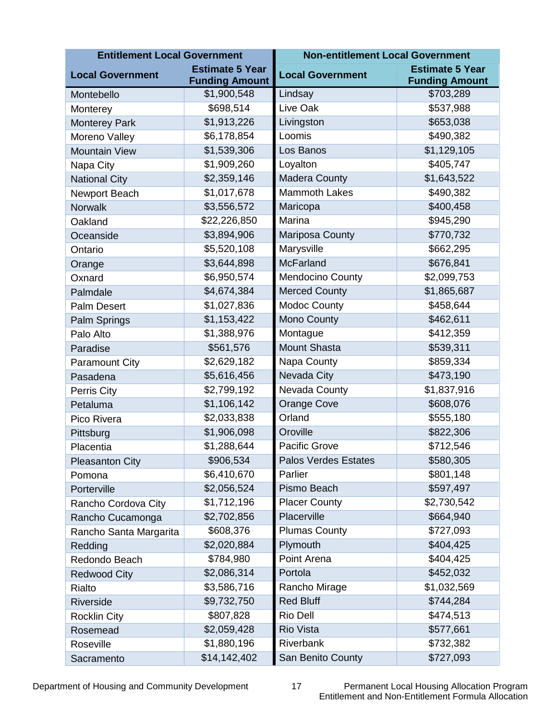| <b>Entitlement Local Government</b> |                        | <b>Non-entitlement Local Government</b>           |                       |
|-------------------------------------|------------------------|---------------------------------------------------|-----------------------|
| <b>Local Government</b>             | <b>Estimate 5 Year</b> | <b>Estimate 5 Year</b><br><b>Local Government</b> |                       |
|                                     | <b>Funding Amount</b>  |                                                   | <b>Funding Amount</b> |
| Montebello                          | \$1,900,548            | Lindsay                                           | \$703,289             |
| Monterey                            | \$698,514              | Live Oak                                          | \$537,988             |
| <b>Monterey Park</b>                | \$1,913,226            | Livingston                                        | \$653,038             |
| Moreno Valley                       | \$6,178,854            | Loomis                                            | \$490,382             |
| <b>Mountain View</b>                | \$1,539,306            | Los Banos                                         | \$1,129,105           |
| Napa City                           | \$1,909,260            | Loyalton                                          | \$405,747             |
| <b>National City</b>                | \$2,359,146            | <b>Madera County</b>                              | \$1,643,522           |
| Newport Beach                       | \$1,017,678            | <b>Mammoth Lakes</b>                              | \$490,382             |
| <b>Norwalk</b>                      | \$3,556,572            | Maricopa                                          | \$400,458             |
| Oakland                             | \$22,226,850           | Marina                                            | \$945,290             |
| Oceanside                           | \$3,894,906            | Mariposa County                                   | \$770,732             |
| Ontario                             | \$5,520,108            | Marysville                                        | \$662,295             |
| Orange                              | \$3,644,898            | <b>McFarland</b>                                  | \$676,841             |
| Oxnard                              | \$6,950,574            | <b>Mendocino County</b>                           | \$2,099,753           |
| Palmdale                            | \$4,674,384            | <b>Merced County</b>                              | \$1,865,687           |
| <b>Palm Desert</b>                  | \$1,027,836            | <b>Modoc County</b>                               | \$458,644             |
| Palm Springs                        | \$1,153,422            | Mono County                                       | \$462,611             |
| Palo Alto                           | \$1,388,976            | Montague                                          | \$412,359             |
| Paradise                            | \$561,576              | <b>Mount Shasta</b>                               | \$539,311             |
| <b>Paramount City</b>               | \$2,629,182            | Napa County                                       | \$859,334             |
| Pasadena                            | \$5,616,456            | Nevada City                                       | \$473,190             |
| Perris City                         | \$2,799,192            | Nevada County                                     | \$1,837,916           |
| Petaluma                            | \$1,106,142            | <b>Orange Cove</b>                                | \$608,076             |
| Pico Rivera                         | \$2,033,838            | Orland                                            | \$555,180             |
| Pittsburg                           | \$1,906,098            | Oroville                                          | \$822,306             |
| Placentia                           | \$1,288,644            | Pacific Grove                                     | \$712,546             |
| <b>Pleasanton City</b>              | \$906,534              | <b>Palos Verdes Estates</b>                       | \$580,305             |
| Pomona                              | \$6,410,670            | Parlier                                           | \$801,148             |
| Porterville                         | \$2,056,524            | Pismo Beach                                       | \$597,497             |
| Rancho Cordova City                 | \$1,712,196            | <b>Placer County</b>                              | \$2,730,542           |
| Rancho Cucamonga                    | \$2,702,856            | Placerville                                       | \$664,940             |
| Rancho Santa Margarita              | \$608,376              | <b>Plumas County</b>                              | \$727,093             |
| Redding                             | \$2,020,884            | Plymouth                                          | \$404,425             |
| Redondo Beach                       | \$784,980              | Point Arena                                       | \$404,425             |
| <b>Redwood City</b>                 | \$2,086,314            | Portola                                           | \$452,032             |
| Rialto                              | \$3,586,716            | Rancho Mirage                                     | \$1,032,569           |
| Riverside                           | \$9,732,750            | <b>Red Bluff</b>                                  | \$744,284             |
| <b>Rocklin City</b>                 | \$807,828              | Rio Dell                                          | \$474,513             |
| Rosemead                            | \$2,059,428            | <b>Rio Vista</b>                                  | \$577,661             |
| Roseville                           | \$1,880,196            | Riverbank                                         | \$732,382             |
| Sacramento                          | \$14,142,402           | San Benito County                                 | \$727,093             |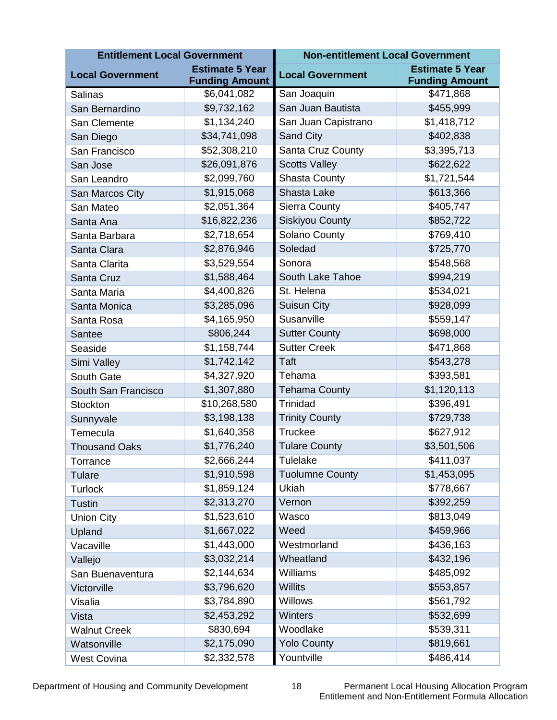| <b>Entitlement Local Government</b> |                                                 | <b>Non-entitlement Local Government</b> |                                                 |
|-------------------------------------|-------------------------------------------------|-----------------------------------------|-------------------------------------------------|
| <b>Local Government</b>             | <b>Estimate 5 Year</b><br><b>Funding Amount</b> | <b>Local Government</b>                 | <b>Estimate 5 Year</b><br><b>Funding Amount</b> |
| <b>Salinas</b>                      | \$6,041,082                                     | San Joaquin                             | \$471,868                                       |
| San Bernardino                      | \$9,732,162                                     | San Juan Bautista                       | \$455,999                                       |
| San Clemente                        | \$1,134,240                                     | San Juan Capistrano                     | \$1,418,712                                     |
| San Diego                           | \$34,741,098                                    | <b>Sand City</b>                        | \$402,838                                       |
| San Francisco                       | \$52,308,210                                    | Santa Cruz County                       | \$3,395,713                                     |
| San Jose                            | \$26,091,876                                    | <b>Scotts Valley</b>                    | \$622,622                                       |
| San Leandro                         | \$2,099,760                                     | <b>Shasta County</b>                    | \$1,721,544                                     |
| San Marcos City                     | \$1,915,068                                     | Shasta Lake                             | \$613,366                                       |
| San Mateo                           | \$2,051,364                                     | <b>Sierra County</b>                    | \$405,747                                       |
| Santa Ana                           | \$16,822,236                                    | <b>Siskiyou County</b>                  | \$852,722                                       |
| Santa Barbara                       | \$2,718,654                                     | Solano County                           | \$769,410                                       |
| Santa Clara                         | \$2,876,946                                     | Soledad                                 | \$725,770                                       |
| Santa Clarita                       | \$3,529,554                                     | Sonora                                  | \$548,568                                       |
| Santa Cruz                          | \$1,588,464                                     | South Lake Tahoe                        | \$994,219                                       |
| Santa Maria                         | \$4,400,826                                     | St. Helena                              | \$534,021                                       |
| Santa Monica                        | \$3,285,096                                     | <b>Suisun City</b>                      | \$928,099                                       |
| Santa Rosa                          | \$4,165,950                                     | Susanville                              | \$559,147                                       |
| Santee                              | \$806,244                                       | <b>Sutter County</b>                    | \$698,000                                       |
| Seaside                             | \$1,158,744                                     | <b>Sutter Creek</b>                     | \$471,868                                       |
| Simi Valley                         | \$1,742,142                                     | Taft                                    | \$543,278                                       |
| South Gate                          | \$4,327,920                                     | Tehama                                  | \$393,581                                       |
| South San Francisco                 | \$1,307,880                                     | <b>Tehama County</b>                    | \$1,120,113                                     |
| <b>Stockton</b>                     | \$10,268,580                                    | <b>Trinidad</b>                         | \$396,491                                       |
| Sunnyvale                           | \$3,198,138                                     | <b>Trinity County</b>                   | \$729,738                                       |
| Temecula                            | \$1,640,358                                     | <b>Truckee</b>                          | \$627,912                                       |
| <b>Thousand Oaks</b>                | \$1,776,240                                     | <b>Tulare County</b>                    | \$3,501,506                                     |
| Torrance                            | \$2,666,244                                     | Tulelake                                | \$411,037                                       |
| Tulare                              | \$1,910,598                                     | <b>Tuolumne County</b>                  | \$1,453,095                                     |
| <b>Turlock</b>                      | \$1,859,124                                     | Ukiah                                   | \$778,667                                       |
| <b>Tustin</b>                       | \$2,313,270                                     | Vernon                                  | \$392,259                                       |
| <b>Union City</b>                   | \$1,523,610                                     | Wasco                                   | \$813,049                                       |
| Upland                              | \$1,667,022                                     | Weed                                    | \$459,966                                       |
| Vacaville                           | \$1,443,000                                     | Westmorland                             | \$436,163                                       |
| Vallejo                             | \$3,032,214                                     | Wheatland                               | \$432,196                                       |
| San Buenaventura                    | \$2,144,634                                     | Williams                                | \$485,092                                       |
| Victorville                         | \$3,796,620                                     | <b>Willits</b>                          | \$553,857                                       |
| Visalia                             | \$3,784,890                                     | <b>Willows</b>                          | \$561,792                                       |
| Vista                               | \$2,453,292                                     | <b>Winters</b>                          | \$532,699                                       |
| <b>Walnut Creek</b>                 | \$830,694                                       | Woodlake                                | \$539,311                                       |
| Watsonville                         | \$2,175,090                                     | <b>Yolo County</b>                      | \$819,661                                       |
| <b>West Covina</b>                  | \$2,332,578                                     | Yountville                              | \$486,414                                       |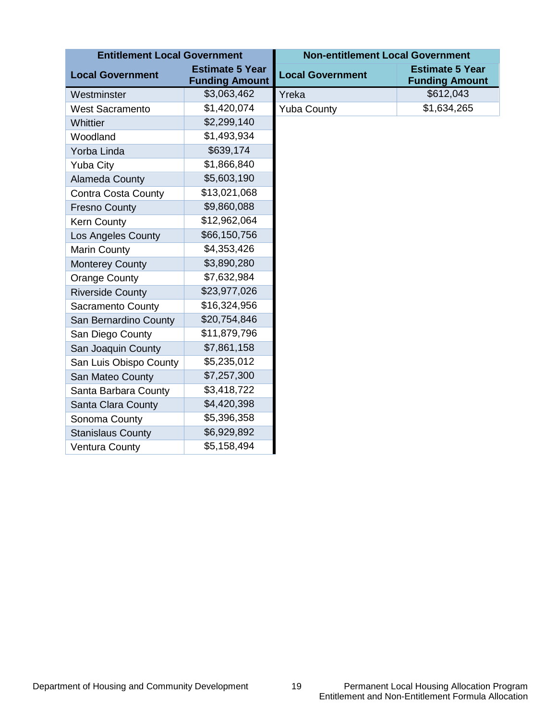| <b>Entitlement Local Government</b> |                                                 | <b>Non-entitlement Local Government</b> |                                                 |
|-------------------------------------|-------------------------------------------------|-----------------------------------------|-------------------------------------------------|
| <b>Local Government</b>             | <b>Estimate 5 Year</b><br><b>Funding Amount</b> | <b>Local Government</b>                 | <b>Estimate 5 Year</b><br><b>Funding Amount</b> |
| Westminster                         | \$3,063,462                                     | Yreka                                   | \$612,043                                       |
| <b>West Sacramento</b>              | \$1,420,074                                     | <b>Yuba County</b>                      | \$1,634,265                                     |
| Whittier                            | \$2,299,140                                     |                                         |                                                 |
| Woodland                            | \$1,493,934                                     |                                         |                                                 |
| Yorba Linda                         | \$639,174                                       |                                         |                                                 |
| <b>Yuba City</b>                    | \$1,866,840                                     |                                         |                                                 |
| Alameda County                      | \$5,603,190                                     |                                         |                                                 |
| <b>Contra Costa County</b>          | \$13,021,068                                    |                                         |                                                 |
| <b>Fresno County</b>                | \$9,860,088                                     |                                         |                                                 |
| <b>Kern County</b>                  | \$12,962,064                                    |                                         |                                                 |
| <b>Los Angeles County</b>           | \$66,150,756                                    |                                         |                                                 |
| <b>Marin County</b>                 | \$4,353,426                                     |                                         |                                                 |
| <b>Monterey County</b>              | \$3,890,280                                     |                                         |                                                 |
| <b>Orange County</b>                | \$7,632,984                                     |                                         |                                                 |
| <b>Riverside County</b>             | \$23,977,026                                    |                                         |                                                 |
| Sacramento County                   | \$16,324,956                                    |                                         |                                                 |
| San Bernardino County               | \$20,754,846                                    |                                         |                                                 |
| San Diego County                    | \$11,879,796                                    |                                         |                                                 |
| San Joaquin County                  | \$7,861,158                                     |                                         |                                                 |
| San Luis Obispo County              | \$5,235,012                                     |                                         |                                                 |
| San Mateo County                    | \$7,257,300                                     |                                         |                                                 |
| Santa Barbara County                | \$3,418,722                                     |                                         |                                                 |
| Santa Clara County                  | \$4,420,398                                     |                                         |                                                 |
| Sonoma County                       | \$5,396,358                                     |                                         |                                                 |
| <b>Stanislaus County</b>            | \$6,929,892                                     |                                         |                                                 |
| Ventura County                      | \$5,158,494                                     |                                         |                                                 |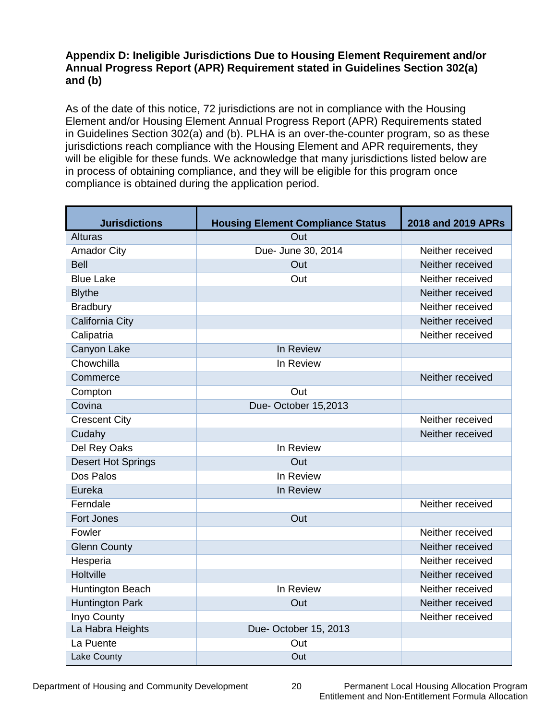#### **Appendix D: Ineligible Jurisdictions Due to Housing Element Requirement and/or Annual Progress Report (APR) Requirement stated in Guidelines Section 302(a) and (b)**

As of the date of this notice, 72 jurisdictions are not in compliance with the Housing Element and/or Housing Element Annual Progress Report (APR) Requirements stated in Guidelines Section 302(a) and (b). PLHA is an over-the-counter program, so as these jurisdictions reach compliance with the Housing Element and APR requirements, they will be eligible for these funds. We acknowledge that many jurisdictions listed below are in process of obtaining compliance, and they will be eligible for this program once compliance is obtained during the application period.

| <b>Jurisdictions</b>      | <b>Housing Element Compliance Status</b> | 2018 and 2019 APRs |
|---------------------------|------------------------------------------|--------------------|
| <b>Alturas</b>            | Out                                      |                    |
| <b>Amador City</b>        | Due- June 30, 2014                       | Neither received   |
| <b>Bell</b>               | Out                                      | Neither received   |
| <b>Blue Lake</b>          | Out                                      | Neither received   |
| <b>Blythe</b>             |                                          | Neither received   |
| <b>Bradbury</b>           |                                          | Neither received   |
| California City           |                                          | Neither received   |
| Calipatria                |                                          | Neither received   |
| Canyon Lake               | In Review                                |                    |
| Chowchilla                | In Review                                |                    |
| Commerce                  |                                          | Neither received   |
| Compton                   | Out                                      |                    |
| Covina                    | Due-October 15,2013                      |                    |
| <b>Crescent City</b>      |                                          | Neither received   |
| Cudahy                    |                                          | Neither received   |
| Del Rey Oaks              | In Review                                |                    |
| <b>Desert Hot Springs</b> | Out                                      |                    |
| Dos Palos                 | In Review                                |                    |
| Eureka                    | In Review                                |                    |
| Ferndale                  |                                          | Neither received   |
| Fort Jones                | Out                                      |                    |
| Fowler                    |                                          | Neither received   |
| <b>Glenn County</b>       |                                          | Neither received   |
| Hesperia                  |                                          | Neither received   |
| <b>Holtville</b>          |                                          | Neither received   |
| Huntington Beach          | In Review                                | Neither received   |
| <b>Huntington Park</b>    | Out                                      | Neither received   |
| Inyo County               |                                          | Neither received   |
| La Habra Heights          | Due-October 15, 2013                     |                    |
| La Puente                 | Out                                      |                    |
| <b>Lake County</b>        | Out                                      |                    |

Department of Housing and Community Development 20 Permanent Local Housing Allocation Program Entitlement and Non-Entitlement Formula Allocation